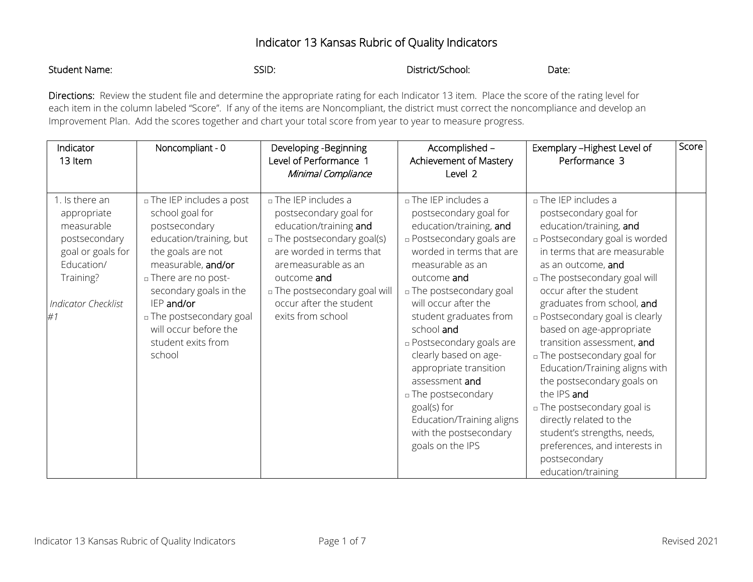## Indicator 13 Kansas Rubric of Quality Indicators

| <b>Student Name:</b><br>SSID: | District/School: | Date: |
|-------------------------------|------------------|-------|
|-------------------------------|------------------|-------|

Directions: Review the student file and determine the appropriate rating for each Indicator 13 item. Place the score of the rating level for each item in the column labeled "Score". If any of the items are Noncompliant, the district must correct the noncompliance and develop an Improvement Plan. Add the scores together and chart your total score from year to year to measure progress.

| Indicator<br>13 Item                                                                                                                      | Noncompliant - 0                                                                                                                                                                                                                                                                         | Developing - Beginning<br>Level of Performance 1<br>Minimal Compliance                                                                                                                                                                                     | Accomplished -<br>Achievement of Mastery<br>Level 2                                                                                                                                                                                                                                                                                                                                                                                                                                            | Exemplary - Highest Level of<br>Performance 3                                                                                                                                                                                                                                                                                                                                                                                                                                                                                                                                                                                                      | Score |
|-------------------------------------------------------------------------------------------------------------------------------------------|------------------------------------------------------------------------------------------------------------------------------------------------------------------------------------------------------------------------------------------------------------------------------------------|------------------------------------------------------------------------------------------------------------------------------------------------------------------------------------------------------------------------------------------------------------|------------------------------------------------------------------------------------------------------------------------------------------------------------------------------------------------------------------------------------------------------------------------------------------------------------------------------------------------------------------------------------------------------------------------------------------------------------------------------------------------|----------------------------------------------------------------------------------------------------------------------------------------------------------------------------------------------------------------------------------------------------------------------------------------------------------------------------------------------------------------------------------------------------------------------------------------------------------------------------------------------------------------------------------------------------------------------------------------------------------------------------------------------------|-------|
| 1. Is there an<br>appropriate<br>measurable<br>postsecondary<br>goal or goals for<br>Education/<br>Training?<br>Indicator Checklist<br>#1 | a The IEP includes a post<br>school goal for<br>postsecondary<br>education/training, but<br>the goals are not<br>measurable, and/or<br>a There are no post-<br>secondary goals in the<br>IEP and/or<br>□ The postsecondary goal<br>will occur before the<br>student exits from<br>school | n The IEP includes a<br>postsecondary goal for<br>education/training and<br>□ The postsecondary goal(s)<br>are worded in terms that<br>aremeasurable as an<br>outcome and<br>□ The postsecondary goal will<br>occur after the student<br>exits from school | a The IEP includes a<br>postsecondary goal for<br>education/training, and<br><b>Postsecondary goals are</b><br>worded in terms that are<br>measurable as an<br>outcome and<br>□ The postsecondary goal<br>will occur after the<br>student graduates from<br>school and<br><b>Postsecondary goals are</b><br>clearly based on age-<br>appropriate transition<br>assessment and<br>□ The postsecondary<br>goal(s) for<br>Education/Training aligns<br>with the postsecondary<br>goals on the IPS | a The IEP includes a<br>postsecondary goal for<br>education/training, and<br><b>Postsecondary goal is worded</b><br>in terms that are measurable<br>as an outcome, and<br>□ The postsecondary goal will<br>occur after the student<br>graduates from school, and<br><b>Postsecondary goal is clearly</b><br>based on age-appropriate<br>transition assessment, and<br>n The postsecondary goal for<br>Education/Training aligns with<br>the postsecondary goals on<br>the IPS and<br>□ The postsecondary goal is<br>directly related to the<br>student's strengths, needs,<br>preferences, and interests in<br>postsecondary<br>education/training |       |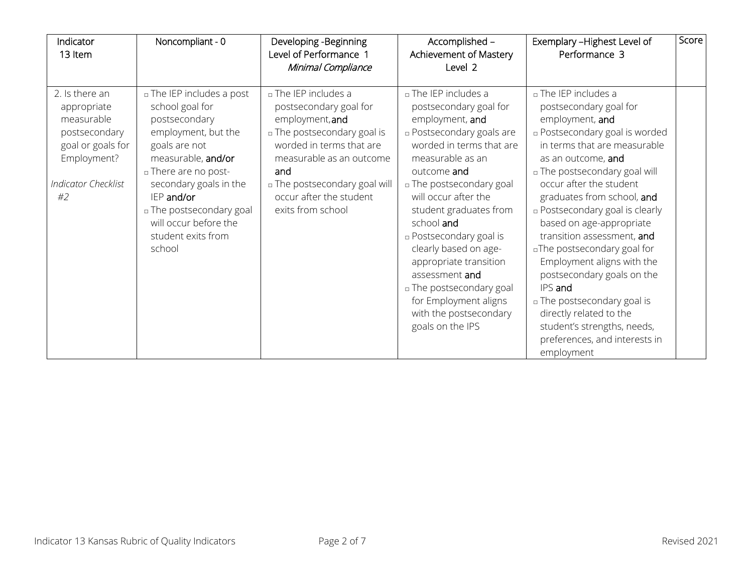| Indicator<br>13 Item                                                                                                                 | Noncompliant - 0                                                                                                                                                                                                                                                                 | Developing -Beginning<br>Level of Performance 1<br>Minimal Compliance                                                                                                                                                                            | Accomplished -<br>Achievement of Mastery<br>Level 2                                                                                                                                                                                                                                                                                                                                                                                                                               | Exemplary - Highest Level of<br>Performance 3                                                                                                                                                                                                                                                                                                                                                                                                                                                                                                                                                            | Score |
|--------------------------------------------------------------------------------------------------------------------------------------|----------------------------------------------------------------------------------------------------------------------------------------------------------------------------------------------------------------------------------------------------------------------------------|--------------------------------------------------------------------------------------------------------------------------------------------------------------------------------------------------------------------------------------------------|-----------------------------------------------------------------------------------------------------------------------------------------------------------------------------------------------------------------------------------------------------------------------------------------------------------------------------------------------------------------------------------------------------------------------------------------------------------------------------------|----------------------------------------------------------------------------------------------------------------------------------------------------------------------------------------------------------------------------------------------------------------------------------------------------------------------------------------------------------------------------------------------------------------------------------------------------------------------------------------------------------------------------------------------------------------------------------------------------------|-------|
| 2. Is there an<br>appropriate<br>measurable<br>postsecondary<br>goal or goals for<br>Employment?<br><b>Indicator Checklist</b><br>#2 | □ The IEP includes a post<br>school goal for<br>postsecondary<br>employment, but the<br>goals are not<br>measurable, and/or<br>a There are no post-<br>secondary goals in the<br>IEP and/or<br>□ The postsecondary goal<br>will occur before the<br>student exits from<br>school | n The IEP includes a<br>postsecondary goal for<br>employment, and<br>□ The postsecondary goal is<br>worded in terms that are<br>measurable as an outcome<br>and<br>n The postsecondary goal will<br>occur after the student<br>exits from school | n The IEP includes a<br>postsecondary goal for<br>employment, and<br><b>Postsecondary goals are</b><br>worded in terms that are<br>measurable as an<br>outcome and<br><sup>o</sup> The postsecondary goal<br>will occur after the<br>student graduates from<br>school and<br><b>Postsecondary goal is</b><br>clearly based on age-<br>appropriate transition<br>assessment and<br>□ The postsecondary goal<br>for Employment aligns<br>with the postsecondary<br>goals on the IPS | n The IEP includes a<br>postsecondary goal for<br>employment, and<br><b>Postsecondary goal is worded</b><br>in terms that are measurable<br>as an outcome, and<br>□ The postsecondary goal will<br>occur after the student<br>graduates from school, and<br><b>Postsecondary goal is clearly</b><br>based on age-appropriate<br>transition assessment, and<br>aThe postsecondary goal for<br>Employment aligns with the<br>postsecondary goals on the<br>IPS and<br>□ The postsecondary goal is<br>directly related to the<br>student's strengths, needs,<br>preferences, and interests in<br>employment |       |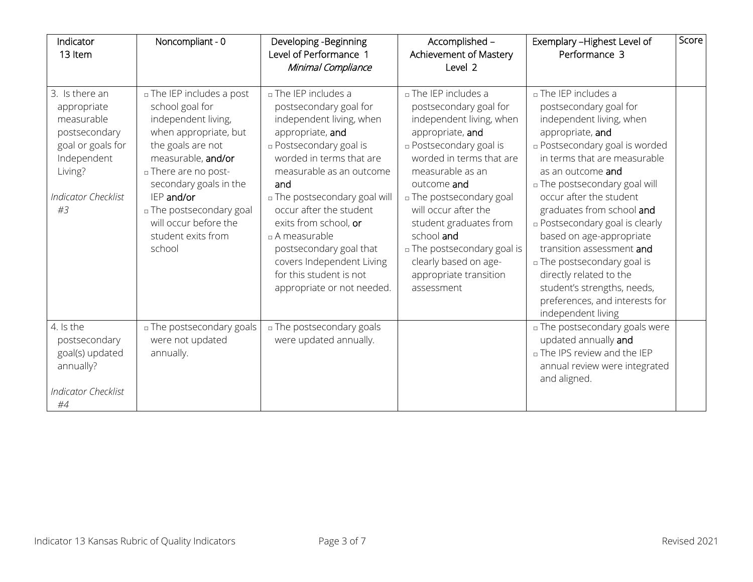| Indicator<br>13 Item                                                                                                                            | Noncompliant - 0                                                                                                                                                                                                                                                                                    | Developing -Beginning<br>Level of Performance 1<br>Minimal Compliance                                                                                                                                                                                                                                                                                                                                                      | Accomplished -<br>Achievement of Mastery<br>Level 2                                                                                                                                                                                                                                                                                                                                            | Exemplary - Highest Level of<br>Performance 3                                                                                                                                                                                                                                                                                                                                                                                                                                                                                              | Score |
|-------------------------------------------------------------------------------------------------------------------------------------------------|-----------------------------------------------------------------------------------------------------------------------------------------------------------------------------------------------------------------------------------------------------------------------------------------------------|----------------------------------------------------------------------------------------------------------------------------------------------------------------------------------------------------------------------------------------------------------------------------------------------------------------------------------------------------------------------------------------------------------------------------|------------------------------------------------------------------------------------------------------------------------------------------------------------------------------------------------------------------------------------------------------------------------------------------------------------------------------------------------------------------------------------------------|--------------------------------------------------------------------------------------------------------------------------------------------------------------------------------------------------------------------------------------------------------------------------------------------------------------------------------------------------------------------------------------------------------------------------------------------------------------------------------------------------------------------------------------------|-------|
| 3. Is there an<br>appropriate<br>measurable<br>postsecondary<br>goal or goals for<br>Independent<br>Living?<br><b>Indicator Checklist</b><br>#3 | <b>a</b> The IEP includes a post<br>school goal for<br>independent living,<br>when appropriate, but<br>the goals are not<br>measurable, and/or<br>a There are no post-<br>secondary goals in the<br>IEP and/or<br>□ The postsecondary goal<br>will occur before the<br>student exits from<br>school | $\Box$ The IEP includes a<br>postsecondary goal for<br>independent living, when<br>appropriate, and<br>□ Postsecondary goal is<br>worded in terms that are<br>measurable as an outcome<br>and<br>a The postsecondary goal will<br>occur after the student<br>exits from school, or<br>$\Box$ A measurable<br>postsecondary goal that<br>covers Independent Living<br>for this student is not<br>appropriate or not needed. | $\Box$ The IEP includes a<br>postsecondary goal for<br>independent living, when<br>appropriate, and<br><b>Postsecondary goal is</b><br>worded in terms that are<br>measurable as an<br>outcome and<br>a The postsecondary goal<br>will occur after the<br>student graduates from<br>school and<br>□ The postsecondary goal is<br>clearly based on age-<br>appropriate transition<br>assessment | $\Box$ The IEP includes a<br>postsecondary goal for<br>independent living, when<br>appropriate, and<br><b>Postsecondary goal is worded</b><br>in terms that are measurable<br>as an outcome and<br>□ The postsecondary goal will<br>occur after the student<br>graduates from school and<br><b>Postsecondary goal is clearly</b><br>based on age-appropriate<br>transition assessment and<br>□ The postsecondary goal is<br>directly related to the<br>student's strengths, needs,<br>preferences, and interests for<br>independent living |       |
| 4. Is the<br>postsecondary<br>goal(s) updated<br>annually?<br><b>Indicator Checklist</b><br>#4                                                  | □ The postsecondary goals<br>were not updated<br>annually.                                                                                                                                                                                                                                          | a The postsecondary goals<br>were updated annually.                                                                                                                                                                                                                                                                                                                                                                        |                                                                                                                                                                                                                                                                                                                                                                                                | □ The postsecondary goals were<br>updated annually and<br>□ The IPS review and the IEP<br>annual review were integrated<br>and aligned.                                                                                                                                                                                                                                                                                                                                                                                                    |       |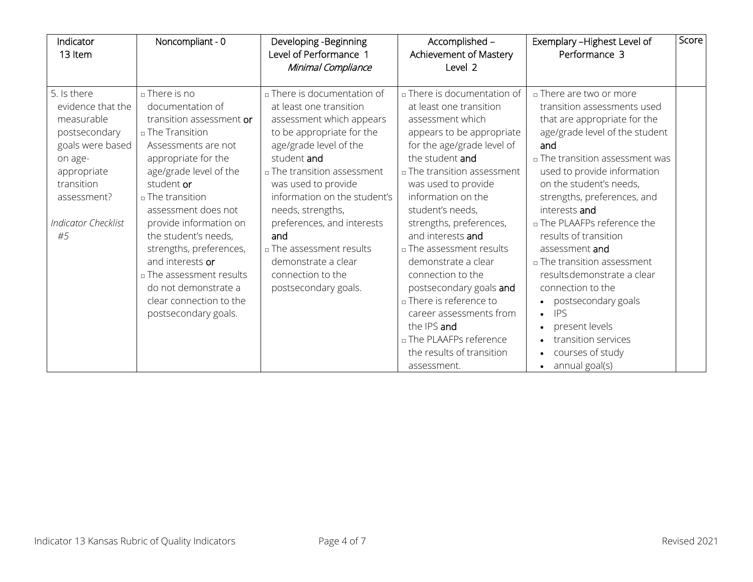| Indicator<br>13 Item                                                                                                                                                           | Noncompliant - 0                                                                                                                                                                                                                                                                                                                                                                                                           | Developing - Beginning<br>Level of Performance 1<br>Minimal Compliance                                                                                                                                                                                                                                                                                                                                   | Accomplished -<br>Achievement of Mastery<br>Level 2                                                                                                                                                                                                                                                                                                                                                                                                                                                                                                     | Exemplary - Highest Level of<br>Performance 3                                                                                                                                                                                                                                                                                                                                                                                                                                                                                                                                          | Score |
|--------------------------------------------------------------------------------------------------------------------------------------------------------------------------------|----------------------------------------------------------------------------------------------------------------------------------------------------------------------------------------------------------------------------------------------------------------------------------------------------------------------------------------------------------------------------------------------------------------------------|----------------------------------------------------------------------------------------------------------------------------------------------------------------------------------------------------------------------------------------------------------------------------------------------------------------------------------------------------------------------------------------------------------|---------------------------------------------------------------------------------------------------------------------------------------------------------------------------------------------------------------------------------------------------------------------------------------------------------------------------------------------------------------------------------------------------------------------------------------------------------------------------------------------------------------------------------------------------------|----------------------------------------------------------------------------------------------------------------------------------------------------------------------------------------------------------------------------------------------------------------------------------------------------------------------------------------------------------------------------------------------------------------------------------------------------------------------------------------------------------------------------------------------------------------------------------------|-------|
| 5. Is there<br>evidence that the<br>measurable<br>postsecondary<br>goals were based<br>on age-<br>appropriate<br>transition<br>assessment?<br><b>Indicator Checklist</b><br>#5 | □ There is no<br>documentation of<br>transition assessment or<br>□ The Transition<br>Assessments are not<br>appropriate for the<br>age/grade level of the<br>student or<br>□ The transition<br>assessment does not<br>provide information on<br>the student's needs,<br>strengths, preferences,<br>and interests or<br>□ The assessment results<br>do not demonstrate a<br>clear connection to the<br>postsecondary goals. | □ There is documentation of<br>at least one transition<br>assessment which appears<br>to be appropriate for the<br>age/grade level of the<br>student and<br>□ The transition assessment<br>was used to provide<br>information on the student's<br>needs, strengths,<br>preferences, and interests<br>and<br>□ The assessment results<br>demonstrate a clear<br>connection to the<br>postsecondary goals. | □ There is documentation of<br>at least one transition<br>assessment which<br>appears to be appropriate<br>for the age/grade level of<br>the student and<br>□ The transition assessment<br>was used to provide<br>information on the<br>student's needs,<br>strengths, preferences,<br>and interests and<br>□ The assessment results<br>demonstrate a clear<br>connection to the<br>postsecondary goals and<br>□ There is reference to<br>career assessments from<br>the IPS and<br>□ The PLAAFPs reference<br>the results of transition<br>assessment. | n There are two or more<br>transition assessments used<br>that are appropriate for the<br>age/grade level of the student<br>and<br>$\Box$ The transition assessment was<br>used to provide information<br>on the student's needs,<br>strengths, preferences, and<br>interests and<br>□ The PLAAFPs reference the<br>results of transition<br>assessment and<br>□ The transition assessment<br>results demonstrate a clear<br>connection to the<br>• postsecondary goals<br><b>IPS</b><br>$\bullet$<br>present levels<br>transition services<br>courses of study<br>annual goal(s)<br>٠ |       |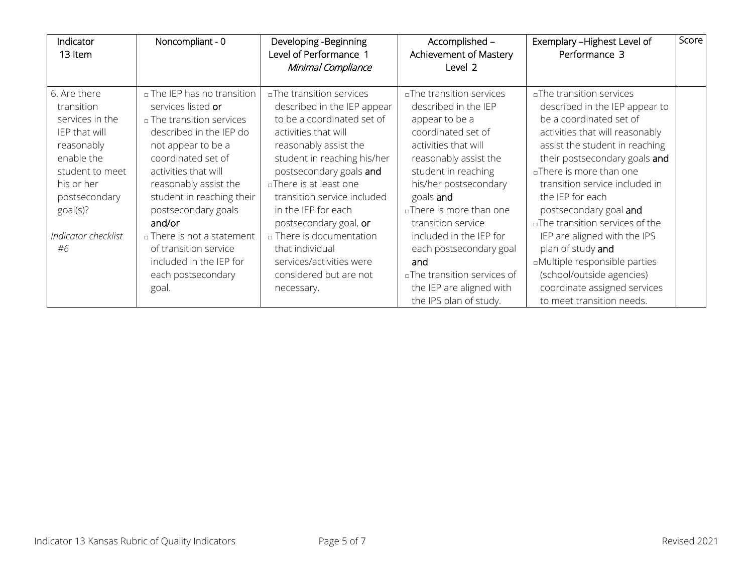| Indicator<br>13 Item                                                                                           | Noncompliant - 0                                                                                                                                                               | Developing -Beginning<br>Level of Performance 1<br>Minimal Compliance                                                                                                                          | Accomplished -<br>Achievement of Mastery<br>Level 2                                                                                                                           | Exemplary - Highest Level of<br>Performance 3                                                                                                                                                                                             | Score |
|----------------------------------------------------------------------------------------------------------------|--------------------------------------------------------------------------------------------------------------------------------------------------------------------------------|------------------------------------------------------------------------------------------------------------------------------------------------------------------------------------------------|-------------------------------------------------------------------------------------------------------------------------------------------------------------------------------|-------------------------------------------------------------------------------------------------------------------------------------------------------------------------------------------------------------------------------------------|-------|
| 6. Are there<br>transition                                                                                     | □ The IEP has no transition<br>services listed or                                                                                                                              | aThe transition services<br>described in the IEP appear                                                                                                                                        | aThe transition services<br>described in the IEP                                                                                                                              | aThe transition services<br>described in the IEP appear to                                                                                                                                                                                |       |
| services in the<br>IEP that will<br>reasonably<br>enable the<br>student to meet<br>his or her<br>postsecondary | □ The transition services<br>described in the IEP do<br>not appear to be a<br>coordinated set of<br>activities that will<br>reasonably assist the<br>student in reaching their | to be a coordinated set of<br>activities that will<br>reasonably assist the<br>student in reaching his/her<br>postsecondary goals and<br>□There is at least one<br>transition service included | appear to be a<br>coordinated set of<br>activities that will<br>reasonably assist the<br>student in reaching<br>his/her postsecondary<br>goals and<br>aThere is more than one | be a coordinated set of<br>activities that will reasonably<br>assist the student in reaching<br>their postsecondary goals and<br>aThere is more than one<br>transition service included in<br>the IEP for each                            |       |
| goal(s)?<br>Indicator checklist<br>#6                                                                          | postsecondary goals<br>and/or<br>□ There is not a statement<br>of transition service<br>included in the IEP for<br>each postsecondary<br>goal.                                 | in the IEP for each<br>postsecondary goal, or<br>n There is documentation<br>that individual<br>services/activities were<br>considered but are not<br>necessary.                               | transition service<br>included in the IEP for<br>each postsecondary goal<br>and<br>□The transition services of<br>the IEP are aligned with<br>the IPS plan of study.          | postsecondary goal and<br>aThe transition services of the<br>IEP are aligned with the IPS<br>plan of study and<br>aMultiple responsible parties<br>(school/outside agencies)<br>coordinate assigned services<br>to meet transition needs. |       |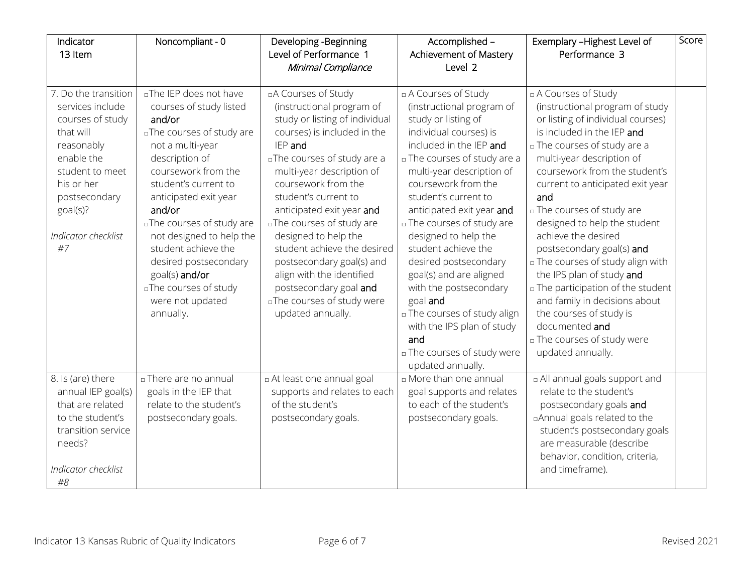| Indicator<br>13 Item                                                                                                                                                                             | Noncompliant - 0                                                                                                                                                                                                                                                                                                                                                                                      | Developing - Beginning<br>Level of Performance 1<br>Minimal Compliance                                                                                                                                                                                                                                                                                                                                                                                                                          | Accomplished -<br>Achievement of Mastery<br>Level 2                                                                                                                                                                                                                                                                                                                                                                                                                                                                                                                    | Exemplary - Highest Level of<br>Performance 3                                                                                                                                                                                                                                                                                                                                                                                                                                                                                                                                                                                    | Score |
|--------------------------------------------------------------------------------------------------------------------------------------------------------------------------------------------------|-------------------------------------------------------------------------------------------------------------------------------------------------------------------------------------------------------------------------------------------------------------------------------------------------------------------------------------------------------------------------------------------------------|-------------------------------------------------------------------------------------------------------------------------------------------------------------------------------------------------------------------------------------------------------------------------------------------------------------------------------------------------------------------------------------------------------------------------------------------------------------------------------------------------|------------------------------------------------------------------------------------------------------------------------------------------------------------------------------------------------------------------------------------------------------------------------------------------------------------------------------------------------------------------------------------------------------------------------------------------------------------------------------------------------------------------------------------------------------------------------|----------------------------------------------------------------------------------------------------------------------------------------------------------------------------------------------------------------------------------------------------------------------------------------------------------------------------------------------------------------------------------------------------------------------------------------------------------------------------------------------------------------------------------------------------------------------------------------------------------------------------------|-------|
| 7. Do the transition<br>services include<br>courses of study<br>that will<br>reasonably<br>enable the<br>student to meet<br>his or her<br>postsecondary<br>goal(s)?<br>Indicator checklist<br>#7 | aThe IEP does not have<br>courses of study listed<br>and/or<br>aThe courses of study are<br>not a multi-year<br>description of<br>coursework from the<br>student's current to<br>anticipated exit year<br>and/or<br>aThe courses of study are<br>not designed to help the<br>student achieve the<br>desired postsecondary<br>goal(s) and/or<br>aThe courses of study<br>were not updated<br>annually. | □A Courses of Study<br>(instructional program of<br>study or listing of individual<br>courses) is included in the<br>IEP and<br>aThe courses of study are a<br>multi-year description of<br>coursework from the<br>student's current to<br>anticipated exit year and<br>aThe courses of study are<br>designed to help the<br>student achieve the desired<br>postsecondary goal(s) and<br>align with the identified<br>postsecondary goal and<br>aThe courses of study were<br>updated annually. | □ A Courses of Study<br>(instructional program of<br>study or listing of<br>individual courses) is<br>included in the IEP and<br>n The courses of study are a<br>multi-year description of<br>coursework from the<br>student's current to<br>anticipated exit year and<br>n The courses of study are<br>designed to help the<br>student achieve the<br>desired postsecondary<br>goal(s) and are aligned<br>with the postsecondary<br>goal and<br>□ The courses of study align<br>with the IPS plan of study<br>and<br>□ The courses of study were<br>updated annually. | □ A Courses of Study<br>(instructional program of study<br>or listing of individual courses)<br>is included in the IEP and<br>n The courses of study are a<br>multi-year description of<br>coursework from the student's<br>current to anticipated exit year<br>and<br>□ The courses of study are<br>designed to help the student<br>achieve the desired<br>postsecondary goal(s) and<br>In The courses of study align with<br>the IPS plan of study and<br>□ The participation of the student<br>and family in decisions about<br>the courses of study is<br>documented and<br>n The courses of study were<br>updated annually. |       |
| 8. Is (are) there<br>annual IEP goal(s)<br>that are related<br>to the student's<br>transition service<br>needs?<br>Indicator checklist<br>#8                                                     | n There are no annual<br>goals in the IEP that<br>relate to the student's<br>postsecondary goals.                                                                                                                                                                                                                                                                                                     | La At least one annual goal<br>supports and relates to each<br>of the student's<br>postsecondary goals.                                                                                                                                                                                                                                                                                                                                                                                         | n More than one annual<br>goal supports and relates<br>to each of the student's<br>postsecondary goals.                                                                                                                                                                                                                                                                                                                                                                                                                                                                | a All annual goals support and<br>relate to the student's<br>postsecondary goals and<br>□ Annual goals related to the<br>student's postsecondary goals<br>are measurable (describe<br>behavior, condition, criteria,<br>and timeframe).                                                                                                                                                                                                                                                                                                                                                                                          |       |